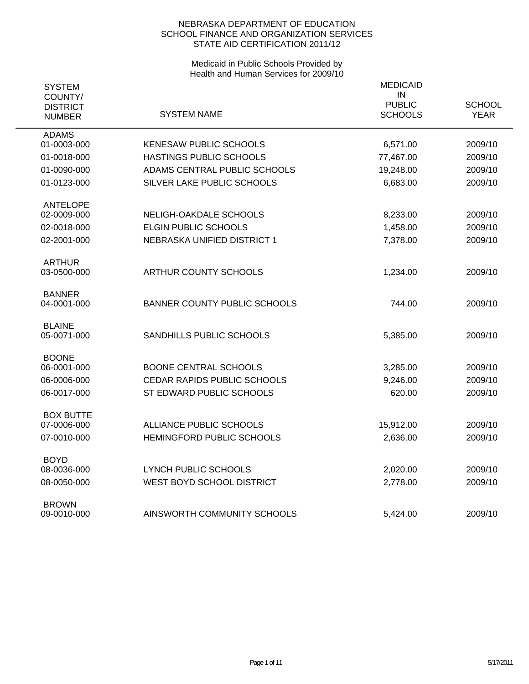| <b>SYSTEM</b><br>COUNTY/<br><b>DISTRICT</b><br><b>NUMBER</b> | SYSTEM NAME                         | <b>MEDICAID</b><br>IN<br><b>PUBLIC</b><br><b>SCHOOLS</b> | <b>SCHOOL</b><br><b>YEAR</b> |
|--------------------------------------------------------------|-------------------------------------|----------------------------------------------------------|------------------------------|
|                                                              |                                     |                                                          |                              |
| <b>ADAMS</b><br>01-0003-000                                  | <b>KENESAW PUBLIC SCHOOLS</b>       | 6,571.00                                                 | 2009/10                      |
| 01-0018-000                                                  | <b>HASTINGS PUBLIC SCHOOLS</b>      | 77,467.00                                                | 2009/10                      |
| 01-0090-000                                                  | ADAMS CENTRAL PUBLIC SCHOOLS        | 19,248.00                                                | 2009/10                      |
| 01-0123-000                                                  | SILVER LAKE PUBLIC SCHOOLS          | 6,683.00                                                 | 2009/10                      |
| <b>ANTELOPE</b>                                              |                                     |                                                          |                              |
| 02-0009-000                                                  | NELIGH-OAKDALE SCHOOLS              | 8,233.00                                                 | 2009/10                      |
| 02-0018-000                                                  | <b>ELGIN PUBLIC SCHOOLS</b>         | 1,458.00                                                 | 2009/10                      |
| 02-2001-000                                                  | NEBRASKA UNIFIED DISTRICT 1         | 7,378.00                                                 | 2009/10                      |
| <b>ARTHUR</b>                                                |                                     |                                                          |                              |
| 03-0500-000                                                  | ARTHUR COUNTY SCHOOLS               | 1,234.00                                                 | 2009/10                      |
| <b>BANNER</b>                                                |                                     |                                                          |                              |
| 04-0001-000                                                  | <b>BANNER COUNTY PUBLIC SCHOOLS</b> | 744.00                                                   | 2009/10                      |
| <b>BLAINE</b>                                                |                                     |                                                          |                              |
| 05-0071-000                                                  | SANDHILLS PUBLIC SCHOOLS            | 5,385.00                                                 | 2009/10                      |
| <b>BOONE</b>                                                 |                                     |                                                          |                              |
| 06-0001-000                                                  | <b>BOONE CENTRAL SCHOOLS</b>        | 3,285.00                                                 | 2009/10                      |
| 06-0006-000                                                  | <b>CEDAR RAPIDS PUBLIC SCHOOLS</b>  | 9,246.00                                                 | 2009/10                      |
| 06-0017-000                                                  | ST EDWARD PUBLIC SCHOOLS            | 620.00                                                   | 2009/10                      |
|                                                              |                                     |                                                          |                              |
| <b>BOX BUTTE</b><br>07-0006-000                              | ALLIANCE PUBLIC SCHOOLS             | 15,912.00                                                | 2009/10                      |
| 07-0010-000                                                  | HEMINGFORD PUBLIC SCHOOLS           | 2,636.00                                                 | 2009/10                      |
|                                                              |                                     |                                                          |                              |
| <b>BOYD</b>                                                  |                                     |                                                          |                              |
| 08-0036-000                                                  | LYNCH PUBLIC SCHOOLS                | 2,020.00                                                 | 2009/10                      |
| 08-0050-000                                                  | WEST BOYD SCHOOL DISTRICT           | 2,778.00                                                 | 2009/10                      |
| <b>BROWN</b>                                                 |                                     |                                                          |                              |
| 09-0010-000                                                  | AINSWORTH COMMUNITY SCHOOLS         | 5.424.00                                                 | 2009/10                      |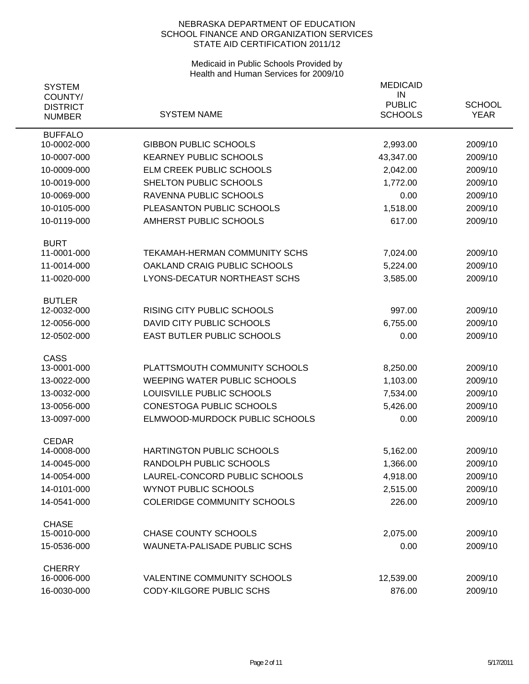| <b>SYSTEM</b><br>COUNTY/<br><b>DISTRICT</b><br><b>NUMBER</b> | <b>SYSTEM NAME</b>                  | <b>MEDICAID</b><br>IN<br><b>PUBLIC</b><br><b>SCHOOLS</b> | <b>SCHOOL</b><br><b>YEAR</b> |
|--------------------------------------------------------------|-------------------------------------|----------------------------------------------------------|------------------------------|
| <b>BUFFALO</b>                                               |                                     |                                                          |                              |
| 10-0002-000                                                  | <b>GIBBON PUBLIC SCHOOLS</b>        | 2,993.00                                                 | 2009/10                      |
| 10-0007-000                                                  | <b>KEARNEY PUBLIC SCHOOLS</b>       | 43,347.00                                                | 2009/10                      |
| 10-0009-000                                                  | ELM CREEK PUBLIC SCHOOLS            | 2,042.00                                                 | 2009/10                      |
| 10-0019-000                                                  | SHELTON PUBLIC SCHOOLS              | 1,772.00                                                 | 2009/10                      |
| 10-0069-000                                                  | RAVENNA PUBLIC SCHOOLS              | 0.00                                                     | 2009/10                      |
| 10-0105-000                                                  | PLEASANTON PUBLIC SCHOOLS           | 1,518.00                                                 | 2009/10                      |
| 10-0119-000                                                  | AMHERST PUBLIC SCHOOLS              | 617.00                                                   | 2009/10                      |
| <b>BURT</b><br>11-0001-000                                   | TEKAMAH-HERMAN COMMUNITY SCHS       | 7,024.00                                                 | 2009/10                      |
| 11-0014-000                                                  | OAKLAND CRAIG PUBLIC SCHOOLS        | 5,224.00                                                 | 2009/10                      |
| 11-0020-000                                                  | LYONS-DECATUR NORTHEAST SCHS        | 3,585.00                                                 | 2009/10                      |
|                                                              |                                     |                                                          |                              |
| <b>BUTLER</b>                                                |                                     |                                                          |                              |
| 12-0032-000                                                  | <b>RISING CITY PUBLIC SCHOOLS</b>   | 997.00                                                   | 2009/10                      |
| 12-0056-000                                                  | DAVID CITY PUBLIC SCHOOLS           | 6,755.00                                                 | 2009/10                      |
| 12-0502-000                                                  | <b>EAST BUTLER PUBLIC SCHOOLS</b>   | 0.00                                                     | 2009/10                      |
| <b>CASS</b>                                                  |                                     |                                                          |                              |
| 13-0001-000                                                  | PLATTSMOUTH COMMUNITY SCHOOLS       | 8,250.00                                                 | 2009/10                      |
| 13-0022-000                                                  | WEEPING WATER PUBLIC SCHOOLS        | 1,103.00                                                 | 2009/10                      |
| 13-0032-000                                                  | LOUISVILLE PUBLIC SCHOOLS           | 7,534.00                                                 | 2009/10                      |
| 13-0056-000                                                  | <b>CONESTOGA PUBLIC SCHOOLS</b>     | 5,426.00                                                 | 2009/10                      |
| 13-0097-000                                                  | ELMWOOD-MURDOCK PUBLIC SCHOOLS      | 0.00                                                     | 2009/10                      |
| <b>CEDAR</b>                                                 |                                     |                                                          |                              |
| 14-0008-000                                                  | HARTINGTON PUBLIC SCHOOLS           | 5,162.00                                                 | 2009/10                      |
| 14-0045-000                                                  | RANDOLPH PUBLIC SCHOOLS             | 1,366.00                                                 | 2009/10                      |
| 14-0054-000                                                  | LAUREL-CONCORD PUBLIC SCHOOLS       | 4,918.00                                                 | 2009/10                      |
| 14-0101-000                                                  | <b>WYNOT PUBLIC SCHOOLS</b>         | 2,515.00                                                 | 2009/10                      |
| 14-0541-000                                                  | <b>COLERIDGE COMMUNITY SCHOOLS</b>  | 226.00                                                   | 2009/10                      |
| <b>CHASE</b><br>15-0010-000                                  | <b>CHASE COUNTY SCHOOLS</b>         | 2,075.00                                                 | 2009/10                      |
| 15-0536-000                                                  | <b>WAUNETA-PALISADE PUBLIC SCHS</b> | 0.00                                                     | 2009/10                      |
| <b>CHERRY</b>                                                |                                     |                                                          |                              |
| 16-0006-000                                                  | <b>VALENTINE COMMUNITY SCHOOLS</b>  | 12,539.00                                                | 2009/10                      |
| 16-0030-000                                                  | CODY-KILGORE PUBLIC SCHS            | 876.00                                                   | 2009/10                      |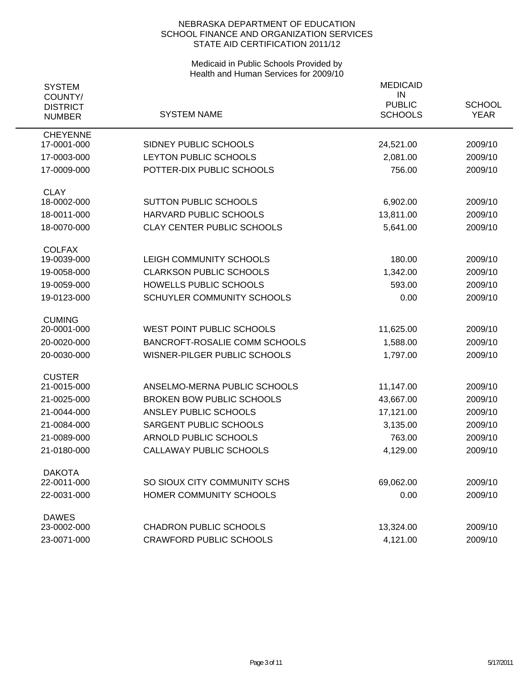| <b>SYSTEM</b><br>COUNTY/ |                                      | <b>MEDICAID</b><br>IN |               |
|--------------------------|--------------------------------------|-----------------------|---------------|
| <b>DISTRICT</b>          |                                      | <b>PUBLIC</b>         | <b>SCHOOL</b> |
| <b>NUMBER</b>            | <b>SYSTEM NAME</b>                   | <b>SCHOOLS</b>        | <b>YEAR</b>   |
| <b>CHEYENNE</b>          | SIDNEY PUBLIC SCHOOLS                |                       |               |
| 17-0001-000              |                                      | 24,521.00             | 2009/10       |
| 17-0003-000              | LEYTON PUBLIC SCHOOLS                | 2,081.00              | 2009/10       |
| 17-0009-000              | POTTER-DIX PUBLIC SCHOOLS            | 756.00                | 2009/10       |
| <b>CLAY</b>              |                                      |                       |               |
| 18-0002-000              | <b>SUTTON PUBLIC SCHOOLS</b>         | 6,902.00              | 2009/10       |
| 18-0011-000              | HARVARD PUBLIC SCHOOLS               | 13,811.00             | 2009/10       |
| 18-0070-000              | <b>CLAY CENTER PUBLIC SCHOOLS</b>    | 5,641.00              | 2009/10       |
| <b>COLFAX</b>            |                                      |                       |               |
| 19-0039-000              | LEIGH COMMUNITY SCHOOLS              | 180.00                | 2009/10       |
| 19-0058-000              | <b>CLARKSON PUBLIC SCHOOLS</b>       | 1,342.00              | 2009/10       |
| 19-0059-000              | <b>HOWELLS PUBLIC SCHOOLS</b>        | 593.00                | 2009/10       |
| 19-0123-000              | SCHUYLER COMMUNITY SCHOOLS           | 0.00                  | 2009/10       |
| <b>CUMING</b>            |                                      |                       |               |
| 20-0001-000              | <b>WEST POINT PUBLIC SCHOOLS</b>     | 11,625.00             | 2009/10       |
| 20-0020-000              | <b>BANCROFT-ROSALIE COMM SCHOOLS</b> | 1,588.00              | 2009/10       |
| 20-0030-000              | WISNER-PILGER PUBLIC SCHOOLS         | 1,797.00              | 2009/10       |
| <b>CUSTER</b>            |                                      |                       |               |
| 21-0015-000              | ANSELMO-MERNA PUBLIC SCHOOLS         | 11,147.00             | 2009/10       |
| 21-0025-000              | <b>BROKEN BOW PUBLIC SCHOOLS</b>     | 43,667.00             | 2009/10       |
| 21-0044-000              | ANSLEY PUBLIC SCHOOLS                | 17,121.00             | 2009/10       |
| 21-0084-000              | SARGENT PUBLIC SCHOOLS               | 3,135.00              | 2009/10       |
| 21-0089-000              | <b>ARNOLD PUBLIC SCHOOLS</b>         | 763.00                | 2009/10       |
| 21-0180-000              | CALLAWAY PUBLIC SCHOOLS              | 4,129.00              | 2009/10       |
| <b>DAKOTA</b>            |                                      |                       |               |
| 22-0011-000              | SO SIOUX CITY COMMUNITY SCHS         | 69,062.00             | 2009/10       |
| 22-0031-000              | HOMER COMMUNITY SCHOOLS              | 0.00                  | 2009/10       |
| <b>DAWES</b>             |                                      |                       |               |
| 23-0002-000              | <b>CHADRON PUBLIC SCHOOLS</b>        | 13,324.00             | 2009/10       |
| 23-0071-000              | <b>CRAWFORD PUBLIC SCHOOLS</b>       | 4,121.00              | 2009/10       |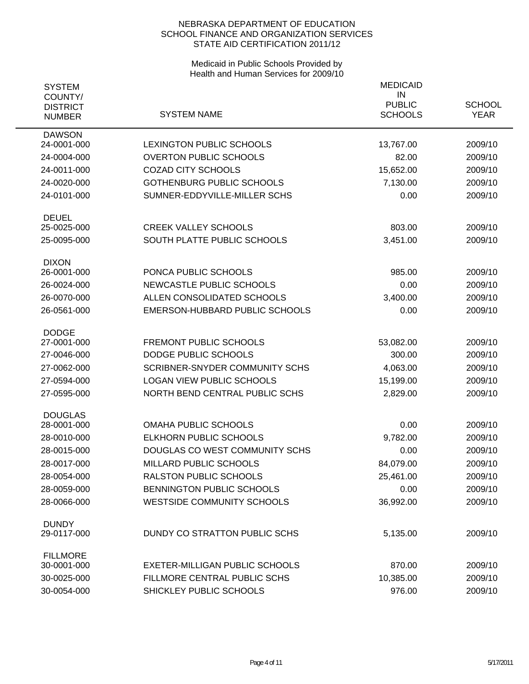| <b>SYSTEM</b><br>COUNTY/<br><b>DISTRICT</b><br><b>NUMBER</b> | <b>SYSTEM NAME</b>                    | <b>MEDICAID</b><br>IN<br><b>PUBLIC</b><br><b>SCHOOLS</b> | <b>SCHOOL</b><br><b>YEAR</b> |
|--------------------------------------------------------------|---------------------------------------|----------------------------------------------------------|------------------------------|
| <b>DAWSON</b><br>24-0001-000                                 | <b>LEXINGTON PUBLIC SCHOOLS</b>       | 13,767.00                                                | 2009/10                      |
| 24-0004-000                                                  | <b>OVERTON PUBLIC SCHOOLS</b>         | 82.00                                                    | 2009/10                      |
| 24-0011-000                                                  | <b>COZAD CITY SCHOOLS</b>             | 15,652.00                                                | 2009/10                      |
| 24-0020-000                                                  | <b>GOTHENBURG PUBLIC SCHOOLS</b>      | 7,130.00                                                 | 2009/10                      |
| 24-0101-000                                                  | SUMNER-EDDYVILLE-MILLER SCHS          | 0.00                                                     | 2009/10                      |
| <b>DEUEL</b>                                                 |                                       |                                                          |                              |
| 25-0025-000                                                  | <b>CREEK VALLEY SCHOOLS</b>           | 803.00                                                   | 2009/10                      |
| 25-0095-000                                                  | SOUTH PLATTE PUBLIC SCHOOLS           | 3,451.00                                                 | 2009/10                      |
| <b>DIXON</b><br>26-0001-000                                  | PONCA PUBLIC SCHOOLS                  | 985.00                                                   | 2009/10                      |
| 26-0024-000                                                  | NEWCASTLE PUBLIC SCHOOLS              | 0.00                                                     | 2009/10                      |
| 26-0070-000                                                  | ALLEN CONSOLIDATED SCHOOLS            | 3,400.00                                                 | 2009/10                      |
| 26-0561-000                                                  | EMERSON-HUBBARD PUBLIC SCHOOLS        | 0.00                                                     | 2009/10                      |
| <b>DODGE</b>                                                 |                                       |                                                          |                              |
| 27-0001-000                                                  | <b>FREMONT PUBLIC SCHOOLS</b>         | 53,082.00                                                | 2009/10                      |
| 27-0046-000                                                  | DODGE PUBLIC SCHOOLS                  | 300.00                                                   | 2009/10                      |
| 27-0062-000                                                  | <b>SCRIBNER-SNYDER COMMUNITY SCHS</b> | 4,063.00                                                 | 2009/10                      |
| 27-0594-000                                                  | <b>LOGAN VIEW PUBLIC SCHOOLS</b>      | 15,199.00                                                | 2009/10                      |
| 27-0595-000                                                  | NORTH BEND CENTRAL PUBLIC SCHS        | 2,829.00                                                 | 2009/10                      |
| <b>DOUGLAS</b><br>28-0001-000                                | <b>OMAHA PUBLIC SCHOOLS</b>           | 0.00                                                     | 2009/10                      |
| 28-0010-000                                                  | <b>ELKHORN PUBLIC SCHOOLS</b>         | 9,782.00                                                 | 2009/10                      |
| 28-0015-000                                                  | DOUGLAS CO WEST COMMUNITY SCHS        | 0.00                                                     | 2009/10                      |
| 28-0017-000                                                  | MILLARD PUBLIC SCHOOLS                | 84,079.00                                                | 2009/10                      |
| 28-0054-000                                                  | <b>RALSTON PUBLIC SCHOOLS</b>         | 25,461.00                                                | 2009/10                      |
| 28-0059-000                                                  | BENNINGTON PUBLIC SCHOOLS             | 0.00                                                     | 2009/10                      |
| 28-0066-000                                                  | <b>WESTSIDE COMMUNITY SCHOOLS</b>     | 36,992.00                                                | 2009/10                      |
| <b>DUNDY</b><br>29-0117-000                                  | DUNDY CO STRATTON PUBLIC SCHS         | 5,135.00                                                 | 2009/10                      |
| <b>FILLMORE</b><br>30-0001-000                               | <b>EXETER-MILLIGAN PUBLIC SCHOOLS</b> | 870.00                                                   | 2009/10                      |
| 30-0025-000                                                  | FILLMORE CENTRAL PUBLIC SCHS          | 10,385.00                                                | 2009/10                      |
| 30-0054-000                                                  | SHICKLEY PUBLIC SCHOOLS               | 976.00                                                   | 2009/10                      |
|                                                              |                                       |                                                          |                              |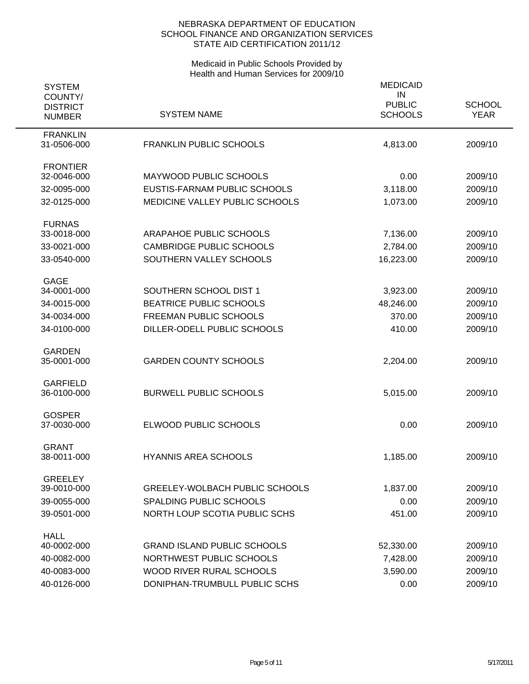| <b>SYSTEM</b>                               |                                       | <b>MEDICAID</b><br>IN           |                              |
|---------------------------------------------|---------------------------------------|---------------------------------|------------------------------|
| COUNTY/<br><b>DISTRICT</b><br><b>NUMBER</b> | <b>SYSTEM NAME</b>                    | <b>PUBLIC</b><br><b>SCHOOLS</b> | <b>SCHOOL</b><br><b>YEAR</b> |
| <b>FRANKLIN</b><br>31-0506-000              | <b>FRANKLIN PUBLIC SCHOOLS</b>        | 4,813.00                        | 2009/10                      |
| <b>FRONTIER</b><br>32-0046-000              | MAYWOOD PUBLIC SCHOOLS                | 0.00                            | 2009/10                      |
| 32-0095-000                                 | EUSTIS-FARNAM PUBLIC SCHOOLS          | 3,118.00                        | 2009/10                      |
| 32-0125-000                                 | MEDICINE VALLEY PUBLIC SCHOOLS        | 1,073.00                        | 2009/10                      |
| <b>FURNAS</b>                               |                                       |                                 |                              |
| 33-0018-000                                 | ARAPAHOE PUBLIC SCHOOLS               | 7,136.00                        | 2009/10                      |
| 33-0021-000                                 | <b>CAMBRIDGE PUBLIC SCHOOLS</b>       | 2,784.00                        | 2009/10                      |
| 33-0540-000                                 | SOUTHERN VALLEY SCHOOLS               | 16,223.00                       | 2009/10                      |
| <b>GAGE</b><br>34-0001-000                  | SOUTHERN SCHOOL DIST 1                | 3,923.00                        | 2009/10                      |
| 34-0015-000                                 | <b>BEATRICE PUBLIC SCHOOLS</b>        | 48,246.00                       | 2009/10                      |
| 34-0034-000                                 | <b>FREEMAN PUBLIC SCHOOLS</b>         | 370.00                          | 2009/10                      |
| 34-0100-000                                 | DILLER-ODELL PUBLIC SCHOOLS           | 410.00                          | 2009/10                      |
|                                             |                                       |                                 |                              |
| <b>GARDEN</b><br>35-0001-000                | <b>GARDEN COUNTY SCHOOLS</b>          | 2,204.00                        | 2009/10                      |
|                                             |                                       |                                 |                              |
| <b>GARFIELD</b><br>36-0100-000              | <b>BURWELL PUBLIC SCHOOLS</b>         | 5,015.00                        | 2009/10                      |
| <b>GOSPER</b>                               |                                       |                                 |                              |
| 37-0030-000                                 | ELWOOD PUBLIC SCHOOLS                 | 0.00                            | 2009/10                      |
| <b>GRANT</b>                                |                                       |                                 |                              |
| 38-0011-000                                 | <b>HYANNIS AREA SCHOOLS</b>           | 1,185.00                        | 2009/10                      |
| <b>GREELEY</b>                              |                                       |                                 |                              |
| 39-0010-000                                 | <b>GREELEY-WOLBACH PUBLIC SCHOOLS</b> | 1,837.00                        | 2009/10                      |
| 39-0055-000                                 | SPALDING PUBLIC SCHOOLS               | 0.00                            | 2009/10                      |
| 39-0501-000                                 | NORTH LOUP SCOTIA PUBLIC SCHS         | 451.00                          | 2009/10                      |
| <b>HALL</b><br>40-0002-000                  | <b>GRAND ISLAND PUBLIC SCHOOLS</b>    | 52,330.00                       | 2009/10                      |
| 40-0082-000                                 | NORTHWEST PUBLIC SCHOOLS              | 7,428.00                        | 2009/10                      |
| 40-0083-000                                 | WOOD RIVER RURAL SCHOOLS              | 3,590.00                        | 2009/10                      |
| 40-0126-000                                 | DONIPHAN-TRUMBULL PUBLIC SCHS         | 0.00                            | 2009/10                      |
|                                             |                                       |                                 |                              |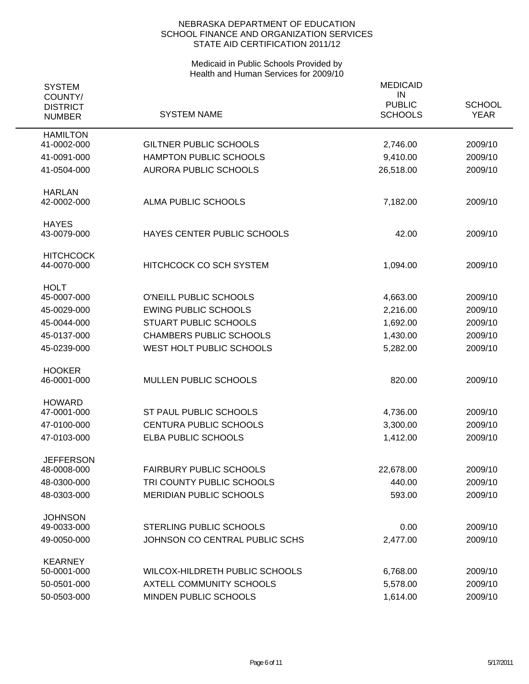| <b>SYSTEM</b><br>COUNTY/<br><b>DISTRICT</b><br><b>NUMBER</b> | <b>SYSTEM NAME</b>             | <b>MEDICAID</b><br>IN<br><b>PUBLIC</b><br><b>SCHOOLS</b> | <b>SCHOOL</b><br><b>YEAR</b> |
|--------------------------------------------------------------|--------------------------------|----------------------------------------------------------|------------------------------|
| <b>HAMILTON</b><br>41-0002-000                               | <b>GILTNER PUBLIC SCHOOLS</b>  | 2,746.00                                                 | 2009/10                      |
| 41-0091-000                                                  | <b>HAMPTON PUBLIC SCHOOLS</b>  | 9,410.00                                                 | 2009/10                      |
| 41-0504-000                                                  | <b>AURORA PUBLIC SCHOOLS</b>   | 26,518.00                                                | 2009/10                      |
| <b>HARLAN</b><br>42-0002-000                                 | ALMA PUBLIC SCHOOLS            | 7,182.00                                                 | 2009/10                      |
| <b>HAYES</b><br>43-0079-000                                  | HAYES CENTER PUBLIC SCHOOLS    | 42.00                                                    | 2009/10                      |
| <b>HITCHCOCK</b><br>44-0070-000                              | <b>HITCHCOCK CO SCH SYSTEM</b> | 1,094.00                                                 | 2009/10                      |
| <b>HOLT</b><br>45-0007-000                                   | O'NEILL PUBLIC SCHOOLS         | 4,663.00                                                 | 2009/10                      |
| 45-0029-000                                                  | <b>EWING PUBLIC SCHOOLS</b>    | 2,216.00                                                 | 2009/10                      |
| 45-0044-000                                                  | <b>STUART PUBLIC SCHOOLS</b>   | 1,692.00                                                 | 2009/10                      |
| 45-0137-000                                                  | <b>CHAMBERS PUBLIC SCHOOLS</b> | 1,430.00                                                 | 2009/10                      |
| 45-0239-000                                                  | WEST HOLT PUBLIC SCHOOLS       | 5,282.00                                                 | 2009/10                      |
| <b>HOOKER</b><br>46-0001-000                                 | MULLEN PUBLIC SCHOOLS          | 820.00                                                   | 2009/10                      |
| <b>HOWARD</b>                                                |                                |                                                          |                              |
| 47-0001-000                                                  | ST PAUL PUBLIC SCHOOLS         | 4,736.00                                                 | 2009/10                      |
| 47-0100-000                                                  | <b>CENTURA PUBLIC SCHOOLS</b>  | 3,300.00                                                 | 2009/10                      |
| 47-0103-000                                                  | ELBA PUBLIC SCHOOLS            | 1,412.00                                                 | 2009/10                      |
| <b>JEFFERSON</b>                                             |                                |                                                          |                              |
| 48-0008-000                                                  | <b>FAIRBURY PUBLIC SCHOOLS</b> | 22,678.00                                                | 2009/10                      |
| 48-0300-000                                                  | TRI COUNTY PUBLIC SCHOOLS      | 440.00                                                   | 2009/10                      |
| 48-0303-000                                                  | <b>MERIDIAN PUBLIC SCHOOLS</b> | 593.00                                                   | 2009/10                      |
| <b>JOHNSON</b><br>49-0033-000                                | <b>STERLING PUBLIC SCHOOLS</b> | 0.00                                                     | 2009/10                      |
| 49-0050-000                                                  | JOHNSON CO CENTRAL PUBLIC SCHS | 2,477.00                                                 | 2009/10                      |
| <b>KEARNEY</b>                                               |                                |                                                          |                              |
| 50-0001-000                                                  | WILCOX-HILDRETH PUBLIC SCHOOLS | 6,768.00                                                 | 2009/10                      |
| 50-0501-000                                                  | AXTELL COMMUNITY SCHOOLS       | 5,578.00                                                 | 2009/10                      |
| 50-0503-000                                                  | MINDEN PUBLIC SCHOOLS          | 1,614.00                                                 | 2009/10                      |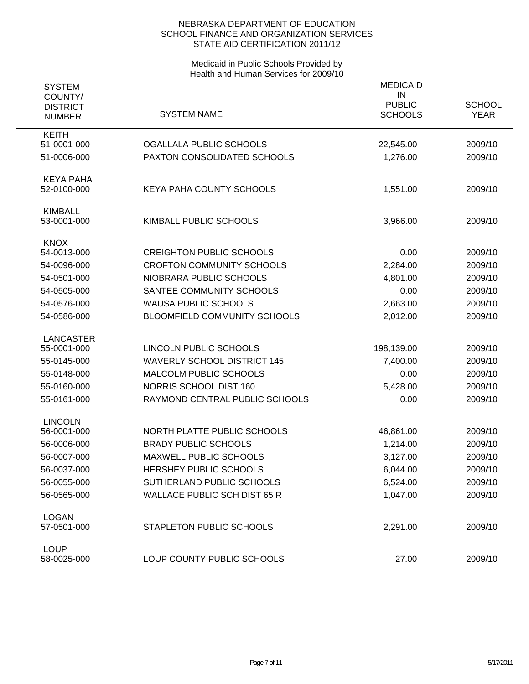| <b>SYSTEM</b><br>COUNTY/    |                                     | <b>MEDICAID</b><br>IN |               |
|-----------------------------|-------------------------------------|-----------------------|---------------|
| <b>DISTRICT</b>             |                                     | <b>PUBLIC</b>         | <b>SCHOOL</b> |
| <b>NUMBER</b>               | <b>SYSTEM NAME</b>                  | <b>SCHOOLS</b>        | <b>YEAR</b>   |
| <b>KEITH</b><br>51-0001-000 | <b>OGALLALA PUBLIC SCHOOLS</b>      | 22,545.00             | 2009/10       |
| 51-0006-000                 | PAXTON CONSOLIDATED SCHOOLS         | 1,276.00              | 2009/10       |
|                             |                                     |                       |               |
| <b>KEYA PAHA</b>            |                                     |                       |               |
| 52-0100-000                 | KEYA PAHA COUNTY SCHOOLS            | 1,551.00              | 2009/10       |
| <b>KIMBALL</b>              |                                     |                       |               |
| 53-0001-000                 | KIMBALL PUBLIC SCHOOLS              | 3,966.00              | 2009/10       |
| <b>KNOX</b>                 |                                     |                       |               |
| 54-0013-000                 | <b>CREIGHTON PUBLIC SCHOOLS</b>     | 0.00                  | 2009/10       |
| 54-0096-000                 | <b>CROFTON COMMUNITY SCHOOLS</b>    | 2,284.00              | 2009/10       |
| 54-0501-000                 | NIOBRARA PUBLIC SCHOOLS             | 4,801.00              | 2009/10       |
| 54-0505-000                 | SANTEE COMMUNITY SCHOOLS            | 0.00                  | 2009/10       |
| 54-0576-000                 | <b>WAUSA PUBLIC SCHOOLS</b>         | 2,663.00              | 2009/10       |
| 54-0586-000                 | <b>BLOOMFIELD COMMUNITY SCHOOLS</b> | 2,012.00              | 2009/10       |
| <b>LANCASTER</b>            |                                     |                       |               |
| 55-0001-000                 | LINCOLN PUBLIC SCHOOLS              | 198,139.00            | 2009/10       |
| 55-0145-000                 | <b>WAVERLY SCHOOL DISTRICT 145</b>  | 7,400.00              | 2009/10       |
| 55-0148-000                 | MALCOLM PUBLIC SCHOOLS              | 0.00                  | 2009/10       |
| 55-0160-000                 | NORRIS SCHOOL DIST 160              | 5,428.00              | 2009/10       |
| 55-0161-000                 | RAYMOND CENTRAL PUBLIC SCHOOLS      | 0.00                  | 2009/10       |
| <b>LINCOLN</b>              |                                     |                       |               |
| 56-0001-000                 | NORTH PLATTE PUBLIC SCHOOLS         | 46,861.00             | 2009/10       |
| 56-0006-000                 | <b>BRADY PUBLIC SCHOOLS</b>         | 1,214.00              | 2009/10       |
| 56-0007-000                 | MAXWELL PUBLIC SCHOOLS              | 3,127.00              | 2009/10       |
| 56-0037-000                 | HERSHEY PUBLIC SCHOOLS              | 6,044.00              | 2009/10       |
| 56-0055-000                 | SUTHERLAND PUBLIC SCHOOLS           | 6,524.00              | 2009/10       |
| 56-0565-000                 | <b>WALLACE PUBLIC SCH DIST 65 R</b> | 1,047.00              | 2009/10       |
| <b>LOGAN</b>                |                                     |                       |               |
| 57-0501-000                 | STAPLETON PUBLIC SCHOOLS            | 2,291.00              | 2009/10       |
| <b>LOUP</b>                 |                                     |                       |               |
| 58-0025-000                 | LOUP COUNTY PUBLIC SCHOOLS          | 27.00                 | 2009/10       |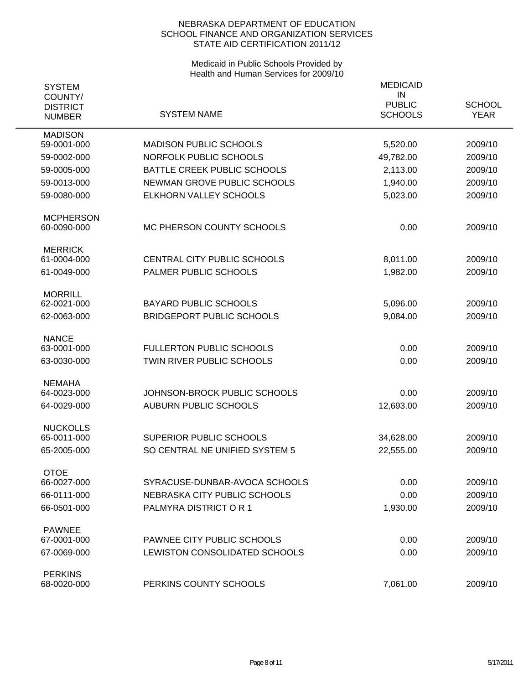| <b>SYSTEM</b><br>COUNTY/         |                                    | <b>MEDICAID</b><br>IN           |                              |
|----------------------------------|------------------------------------|---------------------------------|------------------------------|
| <b>DISTRICT</b><br><b>NUMBER</b> | <b>SYSTEM NAME</b>                 | <b>PUBLIC</b><br><b>SCHOOLS</b> | <b>SCHOOL</b><br><b>YEAR</b> |
| <b>MADISON</b><br>59-0001-000    | <b>MADISON PUBLIC SCHOOLS</b>      | 5,520.00                        | 2009/10                      |
| 59-0002-000                      | NORFOLK PUBLIC SCHOOLS             | 49,782.00                       | 2009/10                      |
| 59-0005-000                      | BATTLE CREEK PUBLIC SCHOOLS        | 2,113.00                        | 2009/10                      |
| 59-0013-000                      | NEWMAN GROVE PUBLIC SCHOOLS        | 1,940.00                        | 2009/10                      |
| 59-0080-000                      | ELKHORN VALLEY SCHOOLS             | 5,023.00                        | 2009/10                      |
| <b>MCPHERSON</b><br>60-0090-000  | MC PHERSON COUNTY SCHOOLS          | 0.00                            | 2009/10                      |
| <b>MERRICK</b><br>61-0004-000    | <b>CENTRAL CITY PUBLIC SCHOOLS</b> | 8,011.00                        | 2009/10                      |
| 61-0049-000                      | PALMER PUBLIC SCHOOLS              | 1,982.00                        | 2009/10                      |
|                                  |                                    |                                 |                              |
| <b>MORRILL</b><br>62-0021-000    | <b>BAYARD PUBLIC SCHOOLS</b>       | 5,096.00                        | 2009/10                      |
| 62-0063-000                      | <b>BRIDGEPORT PUBLIC SCHOOLS</b>   | 9,084.00                        | 2009/10                      |
| <b>NANCE</b>                     |                                    |                                 |                              |
| 63-0001-000                      | <b>FULLERTON PUBLIC SCHOOLS</b>    | 0.00                            | 2009/10                      |
| 63-0030-000                      | TWIN RIVER PUBLIC SCHOOLS          | 0.00                            | 2009/10                      |
| <b>NEMAHA</b>                    |                                    |                                 |                              |
| 64-0023-000                      | JOHNSON-BROCK PUBLIC SCHOOLS       | 0.00                            | 2009/10                      |
| 64-0029-000                      | <b>AUBURN PUBLIC SCHOOLS</b>       | 12,693.00                       | 2009/10                      |
| <b>NUCKOLLS</b>                  |                                    |                                 |                              |
| 65-0011-000                      | SUPERIOR PUBLIC SCHOOLS            | 34,628.00                       | 2009/10                      |
| 65-2005-000                      | SO CENTRAL NE UNIFIED SYSTEM 5     | 22,555.00                       | 2009/10                      |
| <b>OTOE</b><br>66-0027-000       | SYRACUSE-DUNBAR-AVOCA SCHOOLS      | 0.00                            | 2009/10                      |
| 66-0111-000                      | NEBRASKA CITY PUBLIC SCHOOLS       | 0.00                            | 2009/10                      |
| 66-0501-000                      | PALMYRA DISTRICT OR 1              | 1,930.00                        | 2009/10                      |
|                                  |                                    |                                 |                              |
| <b>PAWNEE</b>                    | PAWNEE CITY PUBLIC SCHOOLS         |                                 |                              |
| 67-0001-000                      |                                    | 0.00                            | 2009/10                      |
| 67-0069-000                      | LEWISTON CONSOLIDATED SCHOOLS      | 0.00                            | 2009/10                      |
| <b>PERKINS</b><br>68-0020-000    | PERKINS COUNTY SCHOOLS             | 7,061.00                        | 2009/10                      |
|                                  |                                    |                                 |                              |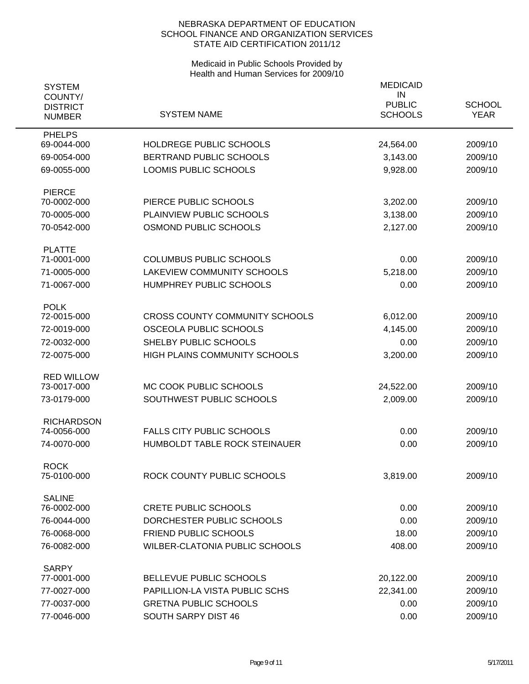| <b>SYSTEM</b><br>COUNTY/         |                                       | <b>MEDICAID</b><br>IN<br><b>PUBLIC</b> | <b>SCHOOL</b> |
|----------------------------------|---------------------------------------|----------------------------------------|---------------|
| <b>DISTRICT</b><br><b>NUMBER</b> | <b>SYSTEM NAME</b>                    | <b>SCHOOLS</b>                         | <b>YEAR</b>   |
| <b>PHELPS</b><br>69-0044-000     | HOLDREGE PUBLIC SCHOOLS               | 24,564.00                              | 2009/10       |
| 69-0054-000                      | BERTRAND PUBLIC SCHOOLS               | 3,143.00                               | 2009/10       |
| 69-0055-000                      | LOOMIS PUBLIC SCHOOLS                 | 9,928.00                               | 2009/10       |
| <b>PIERCE</b>                    |                                       |                                        |               |
| 70-0002-000                      | PIERCE PUBLIC SCHOOLS                 | 3,202.00                               | 2009/10       |
| 70-0005-000                      | PLAINVIEW PUBLIC SCHOOLS              | 3,138.00                               | 2009/10       |
| 70-0542-000                      | OSMOND PUBLIC SCHOOLS                 | 2,127.00                               | 2009/10       |
| <b>PLATTE</b><br>71-0001-000     | <b>COLUMBUS PUBLIC SCHOOLS</b>        | 0.00                                   | 2009/10       |
| 71-0005-000                      | LAKEVIEW COMMUNITY SCHOOLS            | 5,218.00                               | 2009/10       |
| 71-0067-000                      | HUMPHREY PUBLIC SCHOOLS               | 0.00                                   | 2009/10       |
| <b>POLK</b>                      |                                       |                                        |               |
| 72-0015-000                      | <b>CROSS COUNTY COMMUNITY SCHOOLS</b> | 6,012.00                               | 2009/10       |
| 72-0019-000                      | OSCEOLA PUBLIC SCHOOLS                | 4,145.00                               | 2009/10       |
| 72-0032-000                      | SHELBY PUBLIC SCHOOLS                 | 0.00                                   | 2009/10       |
| 72-0075-000                      | HIGH PLAINS COMMUNITY SCHOOLS         | 3,200.00                               | 2009/10       |
| <b>RED WILLOW</b>                |                                       |                                        |               |
| 73-0017-000                      | MC COOK PUBLIC SCHOOLS                | 24,522.00                              | 2009/10       |
| 73-0179-000                      | SOUTHWEST PUBLIC SCHOOLS              | 2,009.00                               | 2009/10       |
| <b>RICHARDSON</b><br>74-0056-000 | <b>FALLS CITY PUBLIC SCHOOLS</b>      | 0.00                                   | 2009/10       |
| 74-0070-000                      | HUMBOLDT TABLE ROCK STEINAUER         | 0.00                                   | 2009/10       |
|                                  |                                       |                                        |               |
| <b>ROCK</b><br>75-0100-000       | ROCK COUNTY PUBLIC SCHOOLS            | 3,819.00                               | 2009/10       |
| <b>SALINE</b>                    |                                       |                                        |               |
| 76-0002-000                      | <b>CRETE PUBLIC SCHOOLS</b>           | 0.00                                   | 2009/10       |
| 76-0044-000                      | DORCHESTER PUBLIC SCHOOLS             | 0.00                                   | 2009/10       |
| 76-0068-000                      | <b>FRIEND PUBLIC SCHOOLS</b>          | 18.00                                  | 2009/10       |
| 76-0082-000                      | WILBER-CLATONIA PUBLIC SCHOOLS        | 408.00                                 | 2009/10       |
| <b>SARPY</b><br>77-0001-000      | BELLEVUE PUBLIC SCHOOLS               | 20,122.00                              | 2009/10       |
| 77-0027-000                      | PAPILLION-LA VISTA PUBLIC SCHS        | 22,341.00                              | 2009/10       |
| 77-0037-000                      | <b>GRETNA PUBLIC SCHOOLS</b>          | 0.00                                   | 2009/10       |
| 77-0046-000                      | SOUTH SARPY DIST 46                   | 0.00                                   | 2009/10       |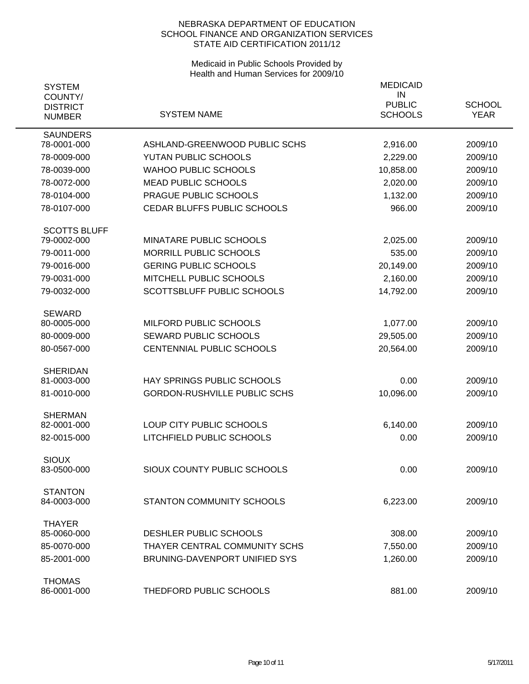| <b>SYSTEM</b><br>COUNTY/         |                                                   | <b>MEDICAID</b><br>IN<br><b>PUBLIC</b> | <b>SCHOOL</b>      |
|----------------------------------|---------------------------------------------------|----------------------------------------|--------------------|
| <b>DISTRICT</b><br><b>NUMBER</b> | <b>SYSTEM NAME</b>                                | <b>SCHOOLS</b>                         | <b>YEAR</b>        |
| <b>SAUNDERS</b><br>78-0001-000   | ASHLAND-GREENWOOD PUBLIC SCHS                     | 2,916.00                               | 2009/10            |
| 78-0009-000                      | YUTAN PUBLIC SCHOOLS                              | 2,229.00                               | 2009/10            |
| 78-0039-000                      | <b>WAHOO PUBLIC SCHOOLS</b>                       | 10,858.00                              | 2009/10            |
| 78-0072-000                      | <b>MEAD PUBLIC SCHOOLS</b>                        | 2,020.00                               | 2009/10            |
| 78-0104-000                      | PRAGUE PUBLIC SCHOOLS                             | 1,132.00                               | 2009/10            |
| 78-0107-000                      | CEDAR BLUFFS PUBLIC SCHOOLS                       | 966.00                                 | 2009/10            |
| <b>SCOTTS BLUFF</b>              |                                                   |                                        |                    |
| 79-0002-000<br>79-0011-000       | MINATARE PUBLIC SCHOOLS<br>MORRILL PUBLIC SCHOOLS | 2,025.00<br>535.00                     | 2009/10<br>2009/10 |
| 79-0016-000                      | <b>GERING PUBLIC SCHOOLS</b>                      | 20,149.00                              | 2009/10            |
| 79-0031-000                      | MITCHELL PUBLIC SCHOOLS                           | 2,160.00                               | 2009/10            |
| 79-0032-000                      | SCOTTSBLUFF PUBLIC SCHOOLS                        | 14,792.00                              | 2009/10            |
|                                  |                                                   |                                        |                    |
| <b>SEWARD</b><br>80-0005-000     | MILFORD PUBLIC SCHOOLS                            | 1,077.00                               | 2009/10            |
| 80-0009-000                      | <b>SEWARD PUBLIC SCHOOLS</b>                      | 29,505.00                              | 2009/10            |
| 80-0567-000                      | CENTENNIAL PUBLIC SCHOOLS                         | 20,564.00                              | 2009/10            |
|                                  |                                                   |                                        |                    |
| <b>SHERIDAN</b>                  | HAY SPRINGS PUBLIC SCHOOLS                        | 0.00                                   | 2009/10            |
| 81-0003-000                      | <b>GORDON-RUSHVILLE PUBLIC SCHS</b>               |                                        |                    |
| 81-0010-000                      |                                                   | 10,096.00                              | 2009/10            |
| <b>SHERMAN</b><br>82-0001-000    | LOUP CITY PUBLIC SCHOOLS                          | 6,140.00                               | 2009/10            |
| 82-0015-000                      | LITCHFIELD PUBLIC SCHOOLS                         | 0.00                                   | 2009/10            |
|                                  |                                                   |                                        |                    |
| <b>SIOUX</b>                     |                                                   |                                        |                    |
| 83-0500-000                      | SIOUX COUNTY PUBLIC SCHOOLS                       | 0.00                                   | 2009/10            |
| <b>STANTON</b>                   | STANTON COMMUNITY SCHOOLS                         |                                        |                    |
| 84-0003-000                      |                                                   | 6,223.00                               | 2009/10            |
| <b>THAYER</b><br>85-0060-000     | DESHLER PUBLIC SCHOOLS                            | 308.00                                 | 2009/10            |
| 85-0070-000                      | THAYER CENTRAL COMMUNITY SCHS                     | 7,550.00                               | 2009/10            |
| 85-2001-000                      | <b>BRUNING-DAVENPORT UNIFIED SYS</b>              | 1,260.00                               | 2009/10            |
|                                  |                                                   |                                        |                    |
| <b>THOMAS</b><br>86-0001-000     | THEDFORD PUBLIC SCHOOLS                           | 881.00                                 | 2009/10            |
|                                  |                                                   |                                        |                    |